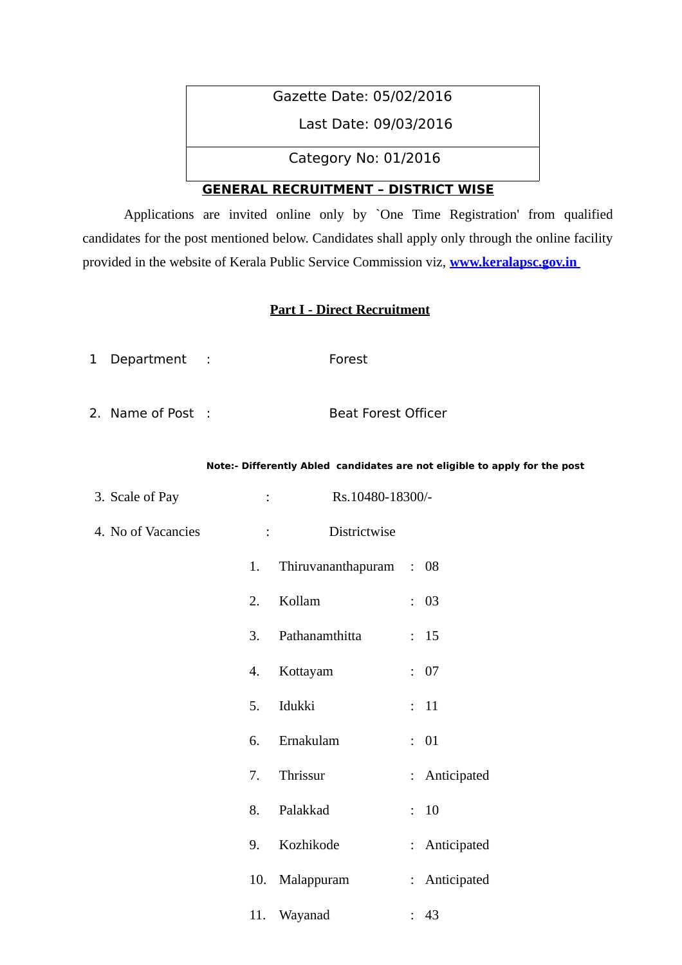# Gazette Date: 05/02/2016

Last Date: 09/03/2016

Category No: 01/2016

# **GENERAL RECRUITMENT – DISTRICT WISE**

Applications are invited online only by `One Time Registration' from qualified candidates for the post mentioned below. Candidates shall apply only through the online facility provided in the website of Kerala Public Service Commission viz, **[www.keralapsc.gov.in](http://www.keralapsc.gov.in/)**

### **Part I - Direct Recruitment**

- 1 Department : Forest
- 2. Name of Post : Beat Forest Officer

#### **Note:- Differently Abled candidates are not eligible to apply for the post**

| 3. Scale of Pay    |    | Rs.10480-18300/-<br>$\mathbb{R}^n$ and $\mathbb{R}^n$          |               |
|--------------------|----|----------------------------------------------------------------|---------------|
| 4. No of Vacancies |    | Districtwise<br>$\mathbf{1}$ and $\mathbf{1}$ and $\mathbf{1}$ |               |
|                    | 1. | Thiruvananthapuram : 08                                        |               |
|                    | 2. | Kollam                                                         | : 03          |
|                    | 3. | Pathanamthitta                                                 | : 15          |
|                    | 4. | Kottayam                                                       | : 07          |
|                    | 5. | Idukki                                                         | : 11          |
|                    | 6. | Ernakulam                                                      | : 01          |
|                    | 7. | Thrissur                                                       | : Anticipated |
|                    | 8. | Palakkad                                                       | : 10          |
|                    | 9. | Kozhikode                                                      | : Anticipated |
|                    |    | 10. Malappuram                                                 | : Anticipated |
|                    |    | 11. Wayanad                                                    | : 43          |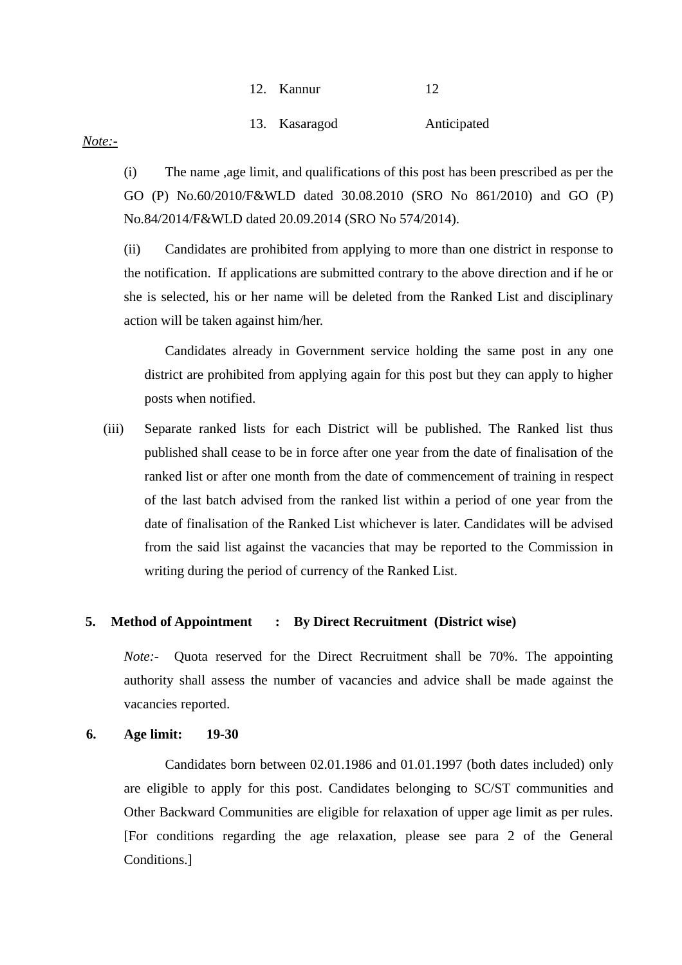| 12. | Kannur |  |
|-----|--------|--|
|     |        |  |

13. Kasaragod Anticipated

#### *Note:-*

(i) The name ,age limit, and qualifications of this post has been prescribed as per the GO (P) No.60/2010/F&WLD dated 30.08.2010 (SRO No 861/2010) and GO (P) No.84/2014/F&WLD dated 20.09.2014 (SRO No 574/2014).

(ii) Candidates are prohibited from applying to more than one district in response to the notification. If applications are submitted contrary to the above direction and if he or she is selected, his or her name will be deleted from the Ranked List and disciplinary action will be taken against him/her.

Candidates already in Government service holding the same post in any one district are prohibited from applying again for this post but they can apply to higher posts when notified.

(iii) Separate ranked lists for each District will be published. The Ranked list thus published shall cease to be in force after one year from the date of finalisation of the ranked list or after one month from the date of commencement of training in respect of the last batch advised from the ranked list within a period of one year from the date of finalisation of the Ranked List whichever is later. Candidates will be advised from the said list against the vacancies that may be reported to the Commission in writing during the period of currency of the Ranked List.

### **5. Method of Appointment : By Direct Recruitment (District wise)**

*Note:-* Quota reserved for the Direct Recruitment shall be 70%. The appointing authority shall assess the number of vacancies and advice shall be made against the vacancies reported.

### **6. Age limit: 19-30**

Candidates born between 02.01.1986 and 01.01.1997 (both dates included) only are eligible to apply for this post. Candidates belonging to SC/ST communities and Other Backward Communities are eligible for relaxation of upper age limit as per rules. [For conditions regarding the age relaxation, please see para 2 of the General Conditions.]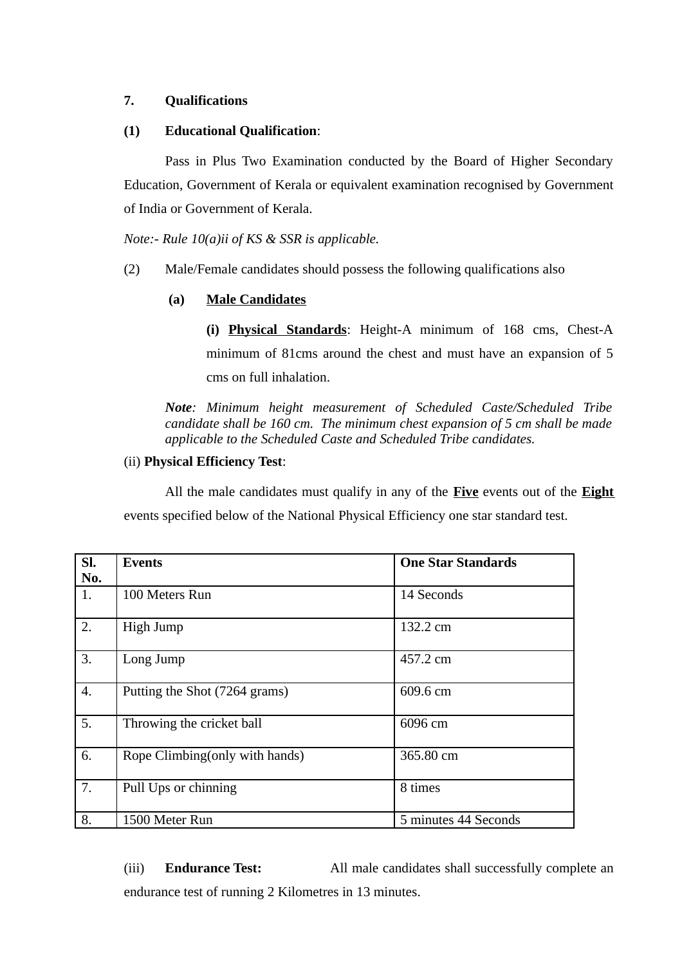# **7. Qualifications**

# **(1) Educational Qualification**:

Pass in Plus Two Examination conducted by the Board of Higher Secondary Education, Government of Kerala or equivalent examination recognised by Government of India or Government of Kerala.

*Note:- Rule 10(a)ii of KS & SSR is applicable.*

(2) Male/Female candidates should possess the following qualifications also

# **(a) Male Candidates**

**(i) Physical Standards**: Height-A minimum of 168 cms, Chest-A minimum of 81cms around the chest and must have an expansion of 5 cms on full inhalation.

*Note: Minimum height measurement of Scheduled Caste/Scheduled Tribe candidate shall be 160 cm. The minimum chest expansion of 5 cm shall be made applicable to the Scheduled Caste and Scheduled Tribe candidates.* 

# (ii) **Physical Efficiency Test**:

All the male candidates must qualify in any of the **Five** events out of the **Eight** events specified below of the National Physical Efficiency one star standard test.

| SI.<br>No. | <b>Events</b>                   | <b>One Star Standards</b> |
|------------|---------------------------------|---------------------------|
| 1.         | 100 Meters Run                  | 14 Seconds                |
| 2.         | High Jump                       | 132.2 cm                  |
| 3.         | Long Jump                       | 457.2 cm                  |
| 4.         | Putting the Shot (7264 grams)   | 609.6 cm                  |
| 5.         | Throwing the cricket ball       | 6096 cm                   |
| 6.         | Rope Climbing (only with hands) | 365.80 cm                 |
| 7.         | Pull Ups or chinning            | 8 times                   |
| 8.         | 1500 Meter Run                  | 5 minutes 44 Seconds      |

(iii) **Endurance Test:** All male candidates shall successfully complete an endurance test of running 2 Kilometres in 13 minutes.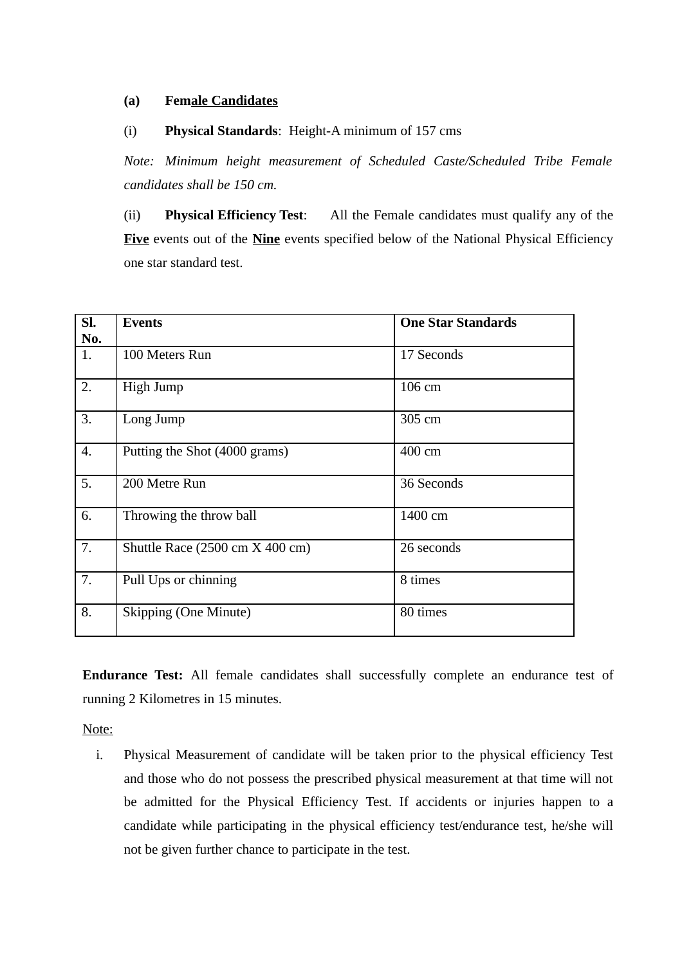### **(a) Female Candidates**

### (i) **Physical Standards**: Height-A minimum of 157 cms

*Note: Minimum height measurement of Scheduled Caste/Scheduled Tribe Female candidates shall be 150 cm.*

(ii) **Physical Efficiency Test**: All the Female candidates must qualify any of the **Five** events out of the **Nine** events specified below of the National Physical Efficiency one star standard test.

| SI.              | <b>Events</b>                   | <b>One Star Standards</b> |
|------------------|---------------------------------|---------------------------|
| No.              |                                 |                           |
| 1.               | 100 Meters Run                  | 17 Seconds                |
| 2.               | High Jump                       | 106 cm                    |
| 3.               | Long Jump                       | 305 cm                    |
| $\overline{4}$ . | Putting the Shot (4000 grams)   | 400 cm                    |
| 5.               | 200 Metre Run                   | 36 Seconds                |
| 6.               | Throwing the throw ball         | 1400 cm                   |
| 7.               | Shuttle Race (2500 cm X 400 cm) | 26 seconds                |
| 7.               | Pull Ups or chinning            | 8 times                   |
| 8.               | <b>Skipping (One Minute)</b>    | 80 times                  |

**Endurance Test:** All female candidates shall successfully complete an endurance test of running 2 Kilometres in 15 minutes.

Note:

i. Physical Measurement of candidate will be taken prior to the physical efficiency Test and those who do not possess the prescribed physical measurement at that time will not be admitted for the Physical Efficiency Test. If accidents or injuries happen to a candidate while participating in the physical efficiency test/endurance test, he/she will not be given further chance to participate in the test.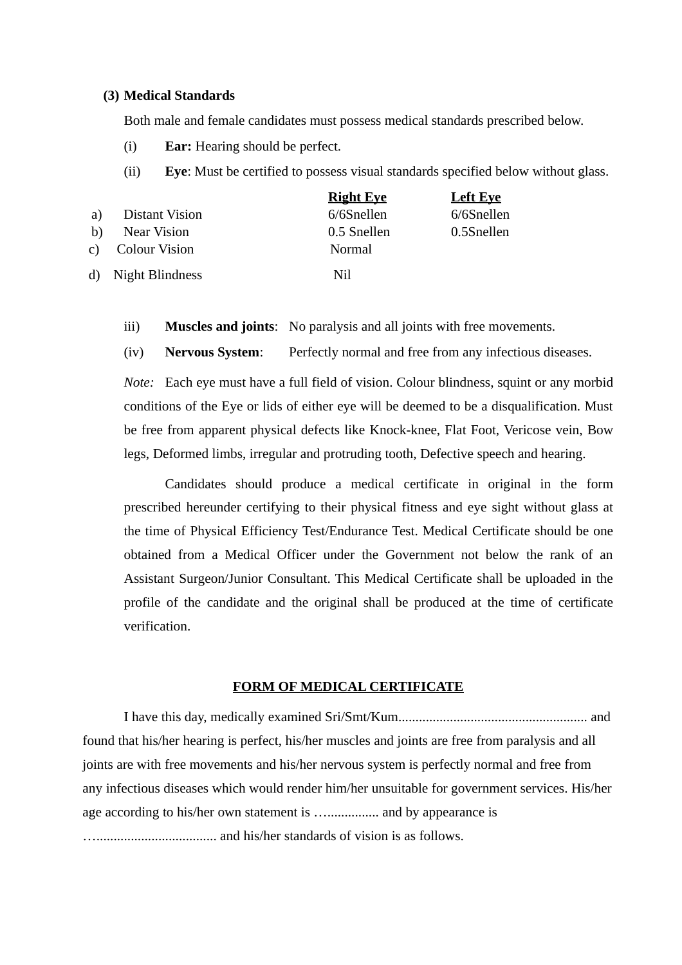#### **(3) Medical Standards**

Both male and female candidates must possess medical standards prescribed below.

- (i) **Ear:** Hearing should be perfect.
- (ii) **Eye**: Must be certified to possess visual standards specified below without glass.

|    |                       | <b>Right Eye</b> | <b>Left Eve</b> |
|----|-----------------------|------------------|-----------------|
| a) | <b>Distant Vision</b> | 6/6Snellen       | 6/6Snellen      |
| h) | Near Vision           | 0.5 Snellen      | 0.5Snellen      |
|    | c) Colour Vision      | Normal           |                 |
|    | d) Night Blindness    | Nil              |                 |

- iii) **Muscles and joints**: No paralysis and all joints with free movements.
- (iv) **Nervous System**: Perfectly normal and free from any infectious diseases.

*Note:* Each eye must have a full field of vision. Colour blindness, squint or any morbid conditions of the Eye or lids of either eye will be deemed to be a disqualification. Must be free from apparent physical defects like Knock-knee, Flat Foot, Vericose vein, Bow legs, Deformed limbs, irregular and protruding tooth, Defective speech and hearing.

Candidates should produce a medical certificate in original in the form prescribed hereunder certifying to their physical fitness and eye sight without glass at the time of Physical Efficiency Test/Endurance Test. Medical Certificate should be one obtained from a Medical Officer under the Government not below the rank of an Assistant Surgeon/Junior Consultant. This Medical Certificate shall be uploaded in the profile of the candidate and the original shall be produced at the time of certificate verification.

#### **FORM OF MEDICAL CERTIFICATE**

I have this day, medically examined Sri/Smt/Kum....................................................... and found that his/her hearing is perfect, his/her muscles and joints are free from paralysis and all joints are with free movements and his/her nervous system is perfectly normal and free from any infectious diseases which would render him/her unsuitable for government services. His/her age according to his/her own statement is .................... and by appearance is …................................... and his/her standards of vision is as follows.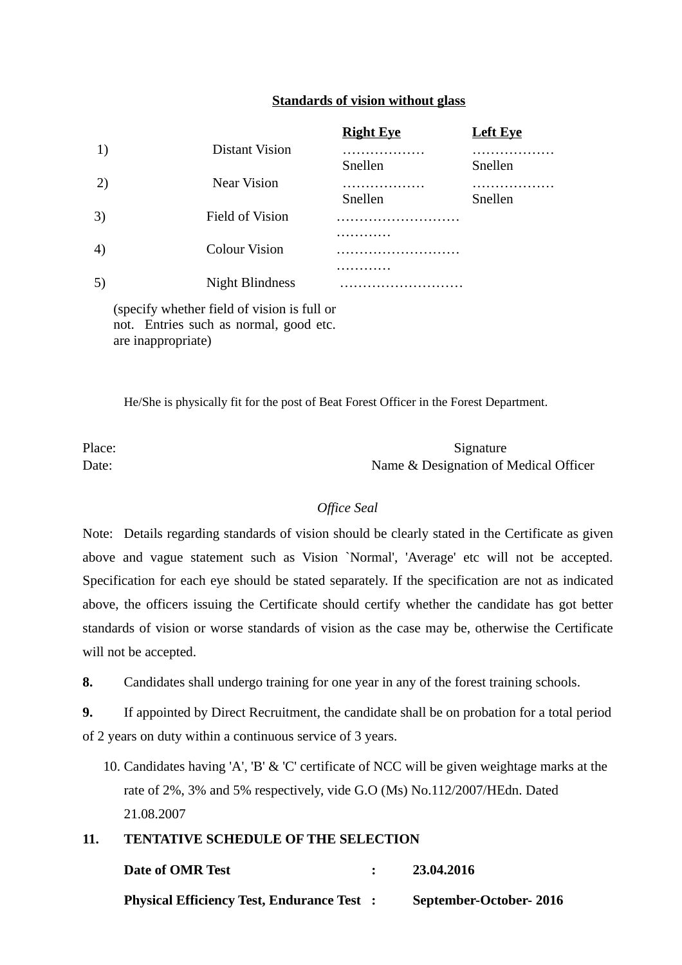### **Standards of vision without glass**

|                   |                        | <b>Right Eye</b> | <b>Left Eye</b> |
|-------------------|------------------------|------------------|-----------------|
| 1)                | Distant Vision         | .<br>Snellen     | .<br>Snellen    |
| 2)                | <b>Near Vision</b>     | .<br>Snellen     | .<br>Snellen    |
| 3)                | <b>Field of Vision</b> |                  |                 |
| $\left( 4\right)$ | <b>Colour Vision</b>   | .                |                 |
| 5)                | <b>Night Blindness</b> | .                |                 |

(specify whether field of vision is full or not. Entries such as normal, good etc. are inappropriate)

He/She is physically fit for the post of Beat Forest Officer in the Forest Department.

Place: Signature Date: Date: Name & Designation of Medical Officer

### *Office Seal*

Note: Details regarding standards of vision should be clearly stated in the Certificate as given above and vague statement such as Vision `Normal', 'Average' etc will not be accepted. Specification for each eye should be stated separately. If the specification are not as indicated above, the officers issuing the Certificate should certify whether the candidate has got better standards of vision or worse standards of vision as the case may be, otherwise the Certificate will not be accepted.

**8.** Candidates shall undergo training for one year in any of the forest training schools.

**9.** If appointed by Direct Recruitment, the candidate shall be on probation for a total period of 2 years on duty within a continuous service of 3 years.

10. Candidates having 'A', 'B' & 'C' certificate of NCC will be given weightage marks at the rate of 2%, 3% and 5% respectively, vide G.O (Ms) No.112/2007/HEdn. Dated 21.08.2007

# **11. TENTATIVE SCHEDULE OF THE SELECTION**

| Date of OMR Test                                  | 23.04.2016             |
|---------------------------------------------------|------------------------|
| <b>Physical Efficiency Test, Endurance Test :</b> | September-October-2016 |